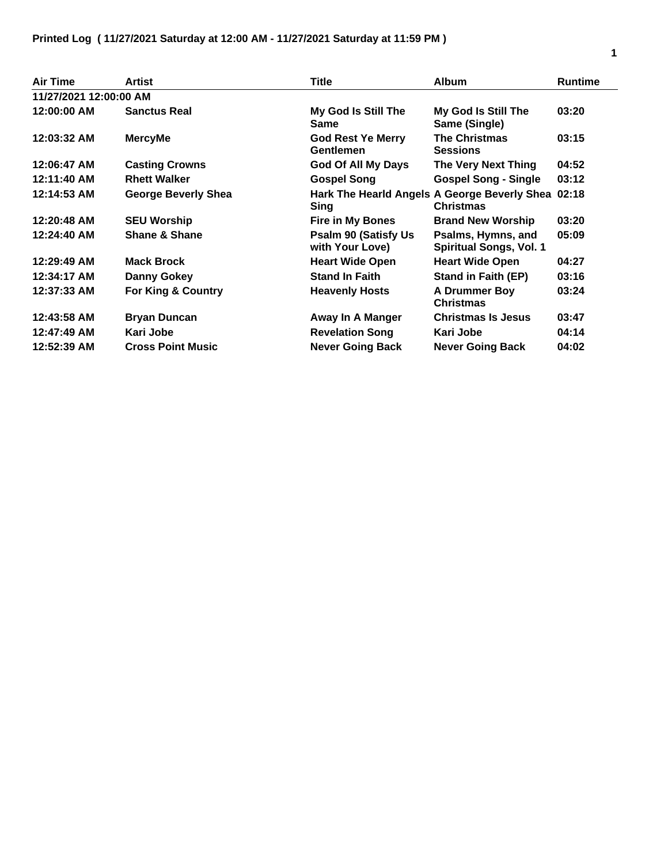| <b>Air Time</b>        | Artist                     | <b>Title</b>                                    | <b>Album</b>                                                           | <b>Runtime</b> |
|------------------------|----------------------------|-------------------------------------------------|------------------------------------------------------------------------|----------------|
| 11/27/2021 12:00:00 AM |                            |                                                 |                                                                        |                |
| 12:00:00 AM            | <b>Sanctus Real</b>        | My God Is Still The<br><b>Same</b>              | My God Is Still The<br>Same (Single)                                   | 03:20          |
| 12:03:32 AM            | <b>MercyMe</b>             | <b>God Rest Ye Merry</b><br><b>Gentlemen</b>    | <b>The Christmas</b><br><b>Sessions</b>                                | 03:15          |
| 12:06:47 AM            | <b>Casting Crowns</b>      | God Of All My Days                              | <b>The Very Next Thing</b>                                             | 04:52          |
| 12:11:40 AM            | <b>Rhett Walker</b>        | <b>Gospel Song</b>                              | <b>Gospel Song - Single</b>                                            | 03:12          |
| 12:14:53 AM            | <b>George Beverly Shea</b> | Sing                                            | Hark The Hearld Angels A George Beverly Shea 02:18<br><b>Christmas</b> |                |
| 12:20:48 AM            | <b>SEU Worship</b>         | <b>Fire in My Bones</b>                         | <b>Brand New Worship</b>                                               | 03:20          |
| 12:24:40 AM            | Shane & Shane              | <b>Psalm 90 (Satisfy Us)</b><br>with Your Love) | Psalms, Hymns, and<br><b>Spiritual Songs, Vol. 1</b>                   | 05:09          |
| 12:29:49 AM            | <b>Mack Brock</b>          | <b>Heart Wide Open</b>                          | <b>Heart Wide Open</b>                                                 | 04:27          |
| 12:34:17 AM            | <b>Danny Gokey</b>         | <b>Stand In Faith</b>                           | <b>Stand in Faith (EP)</b>                                             | 03:16          |
| 12:37:33 AM            | For King & Country         | <b>Heavenly Hosts</b>                           | <b>A Drummer Boy</b><br><b>Christmas</b>                               | 03:24          |
| 12:43:58 AM            | <b>Bryan Duncan</b>        | Away In A Manger                                | <b>Christmas Is Jesus</b>                                              | 03:47          |
| 12:47:49 AM            | Kari Jobe                  | <b>Revelation Song</b>                          | Kari Jobe                                                              | 04:14          |
| 12:52:39 AM            | <b>Cross Point Music</b>   | <b>Never Going Back</b>                         | <b>Never Going Back</b>                                                | 04:02          |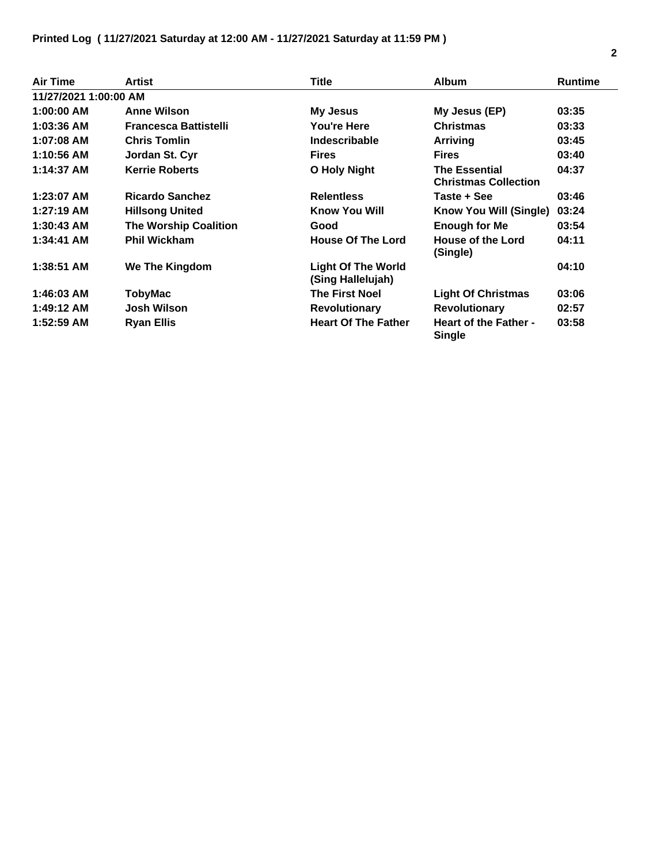| <b>Air Time</b>       | <b>Artist</b>                | <b>Title</b>                                   | <b>Album</b>                                        | <b>Runtime</b> |
|-----------------------|------------------------------|------------------------------------------------|-----------------------------------------------------|----------------|
| 11/27/2021 1:00:00 AM |                              |                                                |                                                     |                |
| 1:00:00 AM            | <b>Anne Wilson</b>           | My Jesus                                       | My Jesus (EP)                                       | 03:35          |
| 1:03:36 AM            | <b>Francesca Battistelli</b> | You're Here                                    | <b>Christmas</b>                                    | 03:33          |
| 1:07:08 AM            | <b>Chris Tomlin</b>          | Indescribable                                  | <b>Arriving</b>                                     | 03:45          |
| 1:10:56 AM            | Jordan St. Cyr               | <b>Fires</b>                                   | <b>Fires</b>                                        | 03:40          |
| 1:14:37 AM            | <b>Kerrie Roberts</b>        | O Holy Night                                   | <b>The Essential</b><br><b>Christmas Collection</b> | 04:37          |
| 1:23:07 AM            | <b>Ricardo Sanchez</b>       | <b>Relentless</b>                              | Taste + See                                         | 03:46          |
| $1:27:19$ AM          | <b>Hillsong United</b>       | Know You Will                                  | Know You Will (Single)                              | 03:24          |
| $1:30:43$ AM          | <b>The Worship Coalition</b> | Good                                           | <b>Enough for Me</b>                                | 03:54          |
| 1:34:41 AM            | <b>Phil Wickham</b>          | <b>House Of The Lord</b>                       | House of the Lord<br>(Single)                       | 04:11          |
| $1:38:51$ AM          | We The Kingdom               | <b>Light Of The World</b><br>(Sing Hallelujah) |                                                     | 04:10          |
| 1:46:03 AM            | <b>TobyMac</b>               | <b>The First Noel</b>                          | <b>Light Of Christmas</b>                           | 03:06          |
| 1:49:12 AM            | Josh Wilson                  | <b>Revolutionary</b>                           | <b>Revolutionary</b>                                | 02:57          |
| 1:52:59 AM            | <b>Ryan Ellis</b>            | <b>Heart Of The Father</b>                     | <b>Heart of the Father -</b><br><b>Single</b>       | 03:58          |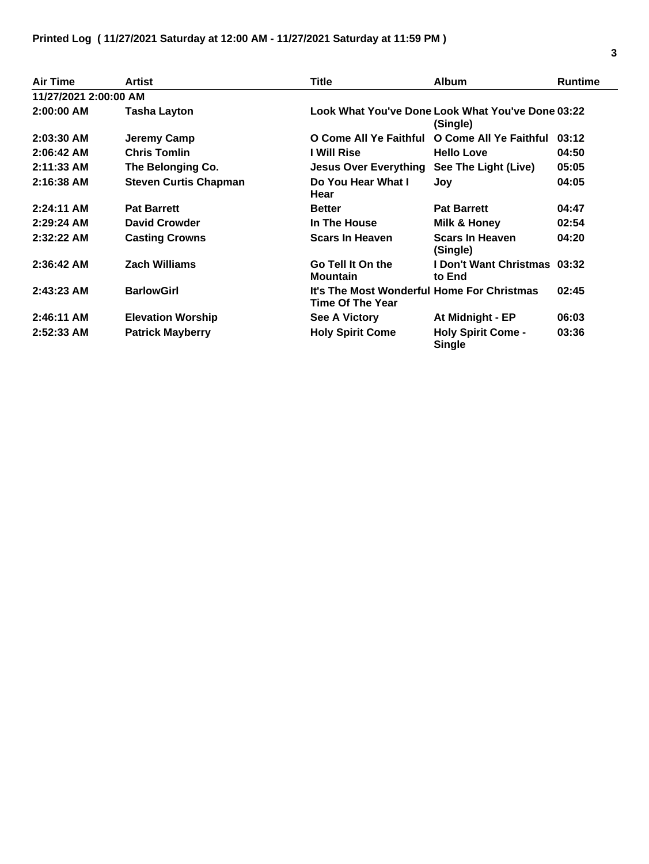| <b>Air Time</b>       | Artist                       | <b>Title</b>                                                   | <b>Album</b>                                                  | <b>Runtime</b> |
|-----------------------|------------------------------|----------------------------------------------------------------|---------------------------------------------------------------|----------------|
| 11/27/2021 2:00:00 AM |                              |                                                                |                                                               |                |
| $2:00:00$ AM          | Tasha Layton                 |                                                                | Look What You've Done Look What You've Done 03:22<br>(Single) |                |
| 2:03:30 AM            | Jeremy Camp                  | O Come All Ye Faithful                                         | O Come All Ye Faithful                                        | 03:12          |
| 2:06:42 AM            | <b>Chris Tomlin</b>          | I Will Rise                                                    | <b>Hello Love</b>                                             | 04:50          |
| $2:11:33$ AM          | The Belonging Co.            | <b>Jesus Over Everything</b>                                   | See The Light (Live)                                          | 05:05          |
| 2:16:38 AM            | <b>Steven Curtis Chapman</b> | Do You Hear What I<br>Hear                                     | Joy                                                           | 04:05          |
| $2:24:11$ AM          | <b>Pat Barrett</b>           | <b>Better</b>                                                  | <b>Pat Barrett</b>                                            | 04:47          |
| $2:29:24$ AM          | <b>David Crowder</b>         | In The House                                                   | Milk & Honey                                                  | 02:54          |
| $2:32:22$ AM          | <b>Casting Crowns</b>        | <b>Scars In Heaven</b>                                         | <b>Scars In Heaven</b><br>(Single)                            | 04:20          |
| $2:36:42$ AM          | <b>Zach Williams</b>         | Go Tell It On the<br><b>Mountain</b>                           | I Don't Want Christmas 03:32<br>to End                        |                |
| $2:43:23$ AM          | <b>BarlowGirl</b>            | It's The Most Wonderful Home For Christmas<br>Time Of The Year |                                                               | 02:45          |
| 2:46:11 AM            | <b>Elevation Worship</b>     | See A Victory                                                  | At Midnight - EP                                              | 06:03          |
| $2:52:33$ AM          | <b>Patrick Mayberry</b>      | <b>Holy Spirit Come</b>                                        | <b>Holy Spirit Come -</b><br><b>Single</b>                    | 03:36          |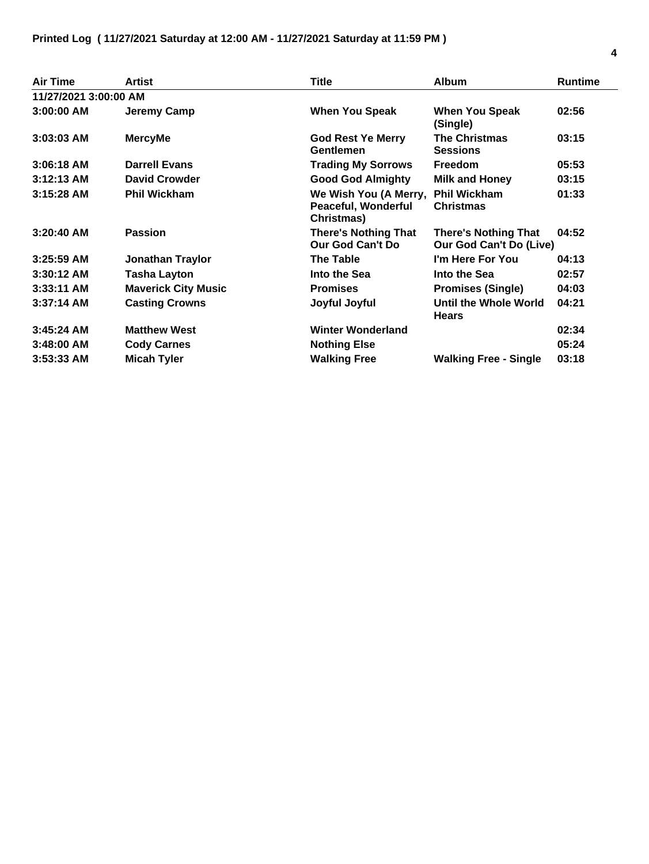| <b>Air Time</b>       | <b>Artist</b>              | Title                                                      | <b>Album</b>                                                  | <b>Runtime</b> |
|-----------------------|----------------------------|------------------------------------------------------------|---------------------------------------------------------------|----------------|
| 11/27/2021 3:00:00 AM |                            |                                                            |                                                               |                |
| 3:00:00 AM            | Jeremy Camp                | <b>When You Speak</b>                                      | <b>When You Speak</b><br>(Single)                             | 02:56          |
| $3:03:03$ AM          | <b>MercyMe</b>             | <b>God Rest Ye Merry</b><br>Gentlemen                      | <b>The Christmas</b><br><b>Sessions</b>                       | 03:15          |
| $3:06:18$ AM          | <b>Darrell Evans</b>       | <b>Trading My Sorrows</b>                                  | <b>Freedom</b>                                                | 05:53          |
| $3:12:13$ AM          | <b>David Crowder</b>       | <b>Good God Almighty</b>                                   | <b>Milk and Honey</b>                                         | 03:15          |
| 3:15:28 AM            | <b>Phil Wickham</b>        | We Wish You (A Merry,<br>Peaceful, Wonderful<br>Christmas) | <b>Phil Wickham</b><br><b>Christmas</b>                       | 01:33          |
| $3:20:40$ AM          | <b>Passion</b>             | <b>There's Nothing That</b><br>Our God Can't Do            | <b>There's Nothing That</b><br><b>Our God Can't Do (Live)</b> | 04:52          |
| $3:25:59$ AM          | <b>Jonathan Traylor</b>    | <b>The Table</b>                                           | I'm Here For You                                              | 04:13          |
| $3:30:12$ AM          | <b>Tasha Layton</b>        | Into the Sea                                               | Into the Sea                                                  | 02:57          |
| $3:33:11$ AM          | <b>Maverick City Music</b> | <b>Promises</b>                                            | <b>Promises (Single)</b>                                      | 04:03          |
| $3:37:14$ AM          | <b>Casting Crowns</b>      | Joyful Joyful                                              | Until the Whole World<br><b>Hears</b>                         | 04:21          |
| $3:45:24$ AM          | <b>Matthew West</b>        | <b>Winter Wonderland</b>                                   |                                                               | 02:34          |
| $3:48:00$ AM          | <b>Cody Carnes</b>         | <b>Nothing Else</b>                                        |                                                               | 05:24          |
| $3:53:33$ AM          | <b>Micah Tyler</b>         | <b>Walking Free</b>                                        | <b>Walking Free - Single</b>                                  | 03:18          |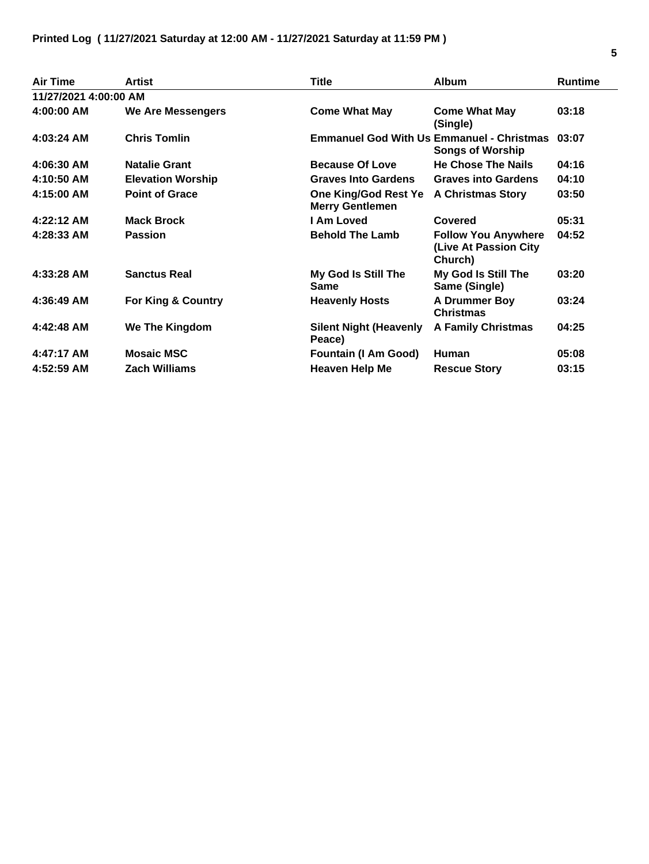| <b>Air Time</b>       | <b>Artist</b>            | <b>Title</b>                                   | <b>Album</b>                                                                | <b>Runtime</b> |
|-----------------------|--------------------------|------------------------------------------------|-----------------------------------------------------------------------------|----------------|
| 11/27/2021 4:00:00 AM |                          |                                                |                                                                             |                |
| 4:00:00 AM            | We Are Messengers        | <b>Come What May</b>                           | <b>Come What May</b><br>(Single)                                            | 03:18          |
| 4:03:24 AM            | <b>Chris Tomlin</b>      |                                                | <b>Emmanuel God With Us Emmanuel - Christmas</b><br><b>Songs of Worship</b> | 03:07          |
| 4:06:30 AM            | <b>Natalie Grant</b>     | <b>Because Of Love</b>                         | <b>He Chose The Nails</b>                                                   | 04:16          |
| 4:10:50 AM            | <b>Elevation Worship</b> | <b>Graves Into Gardens</b>                     | <b>Graves into Gardens</b>                                                  | 04:10          |
| 4:15:00 AM            | <b>Point of Grace</b>    | One King/God Rest Ye<br><b>Merry Gentlemen</b> | <b>A Christmas Story</b>                                                    | 03:50          |
| 4:22:12 AM            | <b>Mack Brock</b>        | I Am Loved                                     | Covered                                                                     | 05:31          |
| 4:28:33 AM            | <b>Passion</b>           | <b>Behold The Lamb</b>                         | <b>Follow You Anywhere</b><br>(Live At Passion City<br>Church)              | 04:52          |
| 4:33:28 AM            | <b>Sanctus Real</b>      | My God Is Still The<br><b>Same</b>             | My God Is Still The<br>Same (Single)                                        | 03:20          |
| 4:36:49 AM            | For King & Country       | <b>Heavenly Hosts</b>                          | <b>A Drummer Boy</b><br><b>Christmas</b>                                    | 03:24          |
| 4:42:48 AM            | We The Kingdom           | <b>Silent Night (Heavenly</b><br>Peace)        | <b>A Family Christmas</b>                                                   | 04:25          |
| 4:47:17 AM            | <b>Mosaic MSC</b>        | <b>Fountain (I Am Good)</b>                    | <b>Human</b>                                                                | 05:08          |
| 4:52:59 AM            | <b>Zach Williams</b>     | <b>Heaven Help Me</b>                          | <b>Rescue Story</b>                                                         | 03:15          |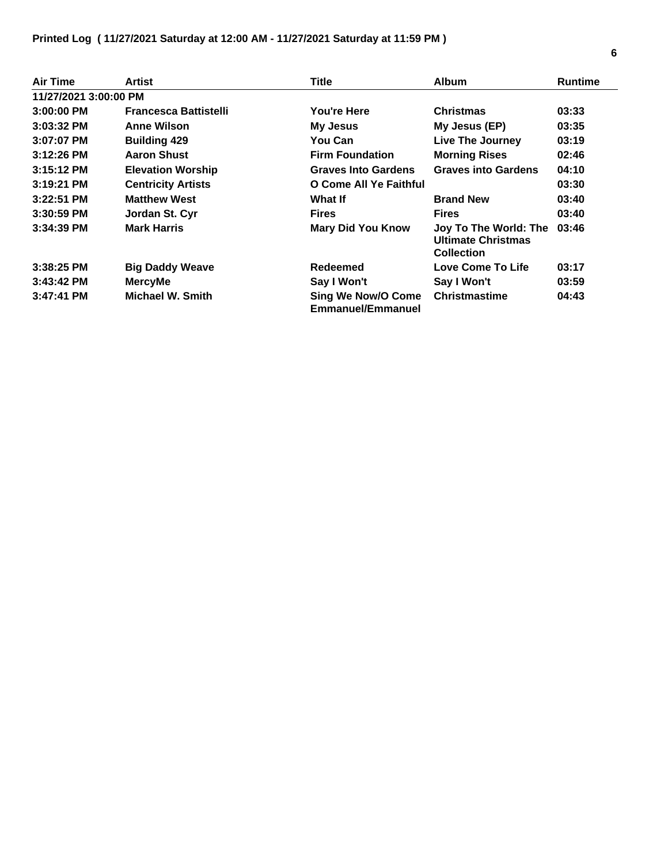| Air Time              | Artist                       | <b>Title</b>                                          | <b>Album</b>                                                            | <b>Runtime</b> |
|-----------------------|------------------------------|-------------------------------------------------------|-------------------------------------------------------------------------|----------------|
| 11/27/2021 3:00:00 PM |                              |                                                       |                                                                         |                |
| $3:00:00$ PM          | <b>Francesca Battistelli</b> | You're Here                                           | <b>Christmas</b>                                                        | 03:33          |
| $3:03:32$ PM          | <b>Anne Wilson</b>           | <b>My Jesus</b>                                       | My Jesus (EP)                                                           | 03:35          |
| $3:07:07$ PM          | <b>Building 429</b>          | You Can                                               | Live The Journey                                                        | 03:19          |
| $3:12:26$ PM          | <b>Aaron Shust</b>           | <b>Firm Foundation</b>                                | <b>Morning Rises</b>                                                    | 02:46          |
| $3:15:12$ PM          | <b>Elevation Worship</b>     | <b>Graves Into Gardens</b>                            | <b>Graves into Gardens</b>                                              | 04:10          |
| $3:19:21$ PM          | <b>Centricity Artists</b>    | O Come All Ye Faithful                                |                                                                         | 03:30          |
| $3:22:51$ PM          | <b>Matthew West</b>          | What If                                               | <b>Brand New</b>                                                        | 03:40          |
| $3:30:59$ PM          | Jordan St. Cyr               | <b>Fires</b>                                          | <b>Fires</b>                                                            | 03:40          |
| $3:34:39$ PM          | <b>Mark Harris</b>           | <b>Mary Did You Know</b>                              | Joy To The World: The<br><b>Ultimate Christmas</b><br><b>Collection</b> | 03:46          |
| $3:38:25$ PM          | <b>Big Daddy Weave</b>       | Redeemed                                              | Love Come To Life                                                       | 03:17          |
| $3:43:42$ PM          | <b>MercyMe</b>               | Say I Won't                                           | Say I Won't                                                             | 03:59          |
| 3:47:41 PM            | <b>Michael W. Smith</b>      | <b>Sing We Now/O Come</b><br><b>Emmanuel/Emmanuel</b> | <b>Christmastime</b>                                                    | 04:43          |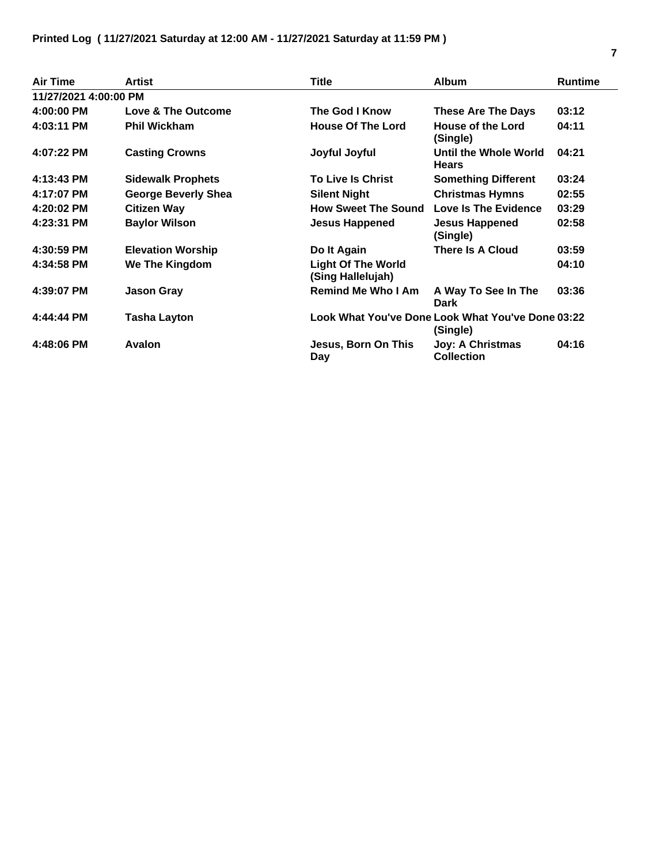| <b>Air Time</b>       | <b>Artist</b>            | <b>Title</b>                                   | <b>Album</b>                                                  | <b>Runtime</b> |
|-----------------------|--------------------------|------------------------------------------------|---------------------------------------------------------------|----------------|
| 11/27/2021 4:00:00 PM |                          |                                                |                                                               |                |
| 4:00:00 PM            | Love & The Outcome       | The God I Know                                 | <b>These Are The Days</b>                                     | 03:12          |
| 4:03:11 PM            | <b>Phil Wickham</b>      | <b>House Of The Lord</b>                       | House of the Lord<br>(Single)                                 | 04:11          |
| 4:07:22 PM            | <b>Casting Crowns</b>    | Joyful Joyful                                  | Until the Whole World<br><b>Hears</b>                         | 04:21          |
| 4:13:43 PM            | <b>Sidewalk Prophets</b> | <b>To Live Is Christ</b>                       | <b>Something Different</b>                                    | 03:24          |
| 4:17:07 PM            | George Beverly Shea      | <b>Silent Night</b>                            | <b>Christmas Hymns</b>                                        | 02:55          |
| 4:20:02 PM            | <b>Citizen Way</b>       | <b>How Sweet The Sound</b>                     | <b>Love Is The Evidence</b>                                   | 03:29          |
| 4:23:31 PM            | <b>Baylor Wilson</b>     | <b>Jesus Happened</b>                          | <b>Jesus Happened</b><br>(Single)                             | 02:58          |
| 4:30:59 PM            | <b>Elevation Worship</b> | Do It Again                                    | There Is A Cloud                                              | 03:59          |
| 4:34:58 PM            | We The Kingdom           | <b>Light Of The World</b><br>(Sing Hallelujah) |                                                               | 04:10          |
| 4:39:07 PM            | <b>Jason Gray</b>        | <b>Remind Me Who I Am</b>                      | A Way To See In The<br><b>Dark</b>                            | 03:36          |
| 4:44:44 PM            | <b>Tasha Layton</b>      |                                                | Look What You've Done Look What You've Done 03:22<br>(Single) |                |
| 4:48:06 PM            | <b>Avalon</b>            | Jesus, Born On This<br>Day                     | <b>Joy: A Christmas</b><br><b>Collection</b>                  | 04:16          |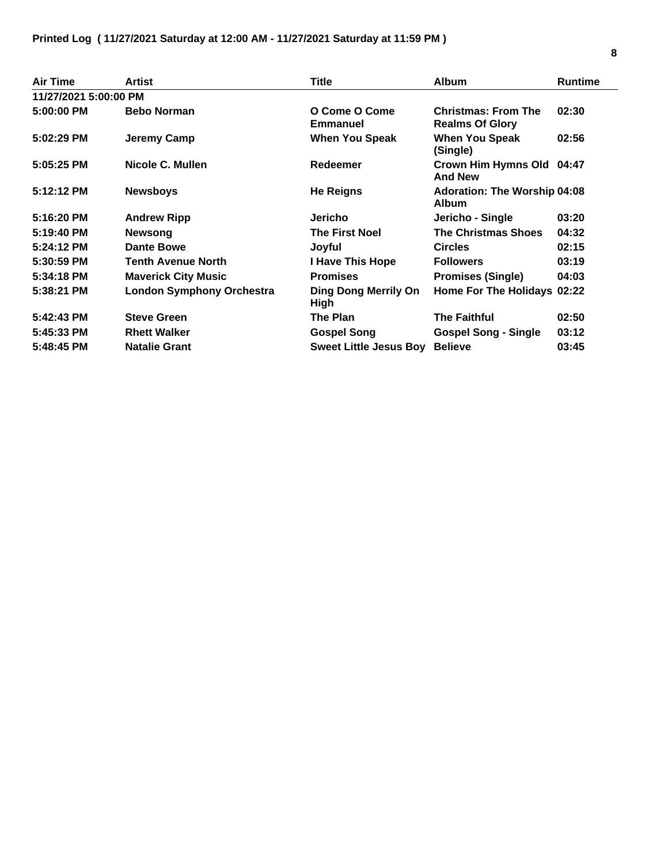| <b>Air Time</b>       | Artist                           | <b>Title</b>                               | <b>Album</b>                                         | <b>Runtime</b> |
|-----------------------|----------------------------------|--------------------------------------------|------------------------------------------------------|----------------|
| 11/27/2021 5:00:00 PM |                                  |                                            |                                                      |                |
| 5:00:00 PM            | <b>Bebo Norman</b>               | O Come O Come<br><b>Emmanuel</b>           | <b>Christmas: From The</b><br><b>Realms Of Glory</b> | 02:30          |
| 5:02:29 PM            | Jeremy Camp                      | <b>When You Speak</b>                      | When You Speak<br>(Single)                           | 02:56          |
| 5:05:25 PM            | Nicole C. Mullen                 | Redeemer                                   | Crown Him Hymns Old 04:47<br><b>And New</b>          |                |
| $5:12:12$ PM          | <b>Newsboys</b>                  | <b>He Reigns</b>                           | <b>Adoration: The Worship 04:08</b><br><b>Album</b>  |                |
| 5:16:20 PM            | <b>Andrew Ripp</b>               | Jericho                                    | Jericho - Single                                     | 03:20          |
| 5:19:40 PM            | <b>Newsong</b>                   | <b>The First Noel</b>                      | <b>The Christmas Shoes</b>                           | 04:32          |
| 5:24:12 PM            | Dante Bowe                       | Joyful                                     | <b>Circles</b>                                       | 02:15          |
| 5:30:59 PM            | <b>Tenth Avenue North</b>        | I Have This Hope                           | <b>Followers</b>                                     | 03:19          |
| 5:34:18 PM            | <b>Maverick City Music</b>       | <b>Promises</b>                            | <b>Promises (Single)</b>                             | 04:03          |
| 5:38:21 PM            | <b>London Symphony Orchestra</b> | <b>Ding Dong Merrily On</b><br><b>High</b> | Home For The Holidays 02:22                          |                |
| 5:42:43 PM            | <b>Steve Green</b>               | <b>The Plan</b>                            | <b>The Faithful</b>                                  | 02:50          |
| 5:45:33 PM            | <b>Rhett Walker</b>              | <b>Gospel Song</b>                         | <b>Gospel Song - Single</b>                          | 03:12          |
| 5:48:45 PM            | <b>Natalie Grant</b>             | <b>Sweet Little Jesus Boy</b>              | <b>Believe</b>                                       | 03:45          |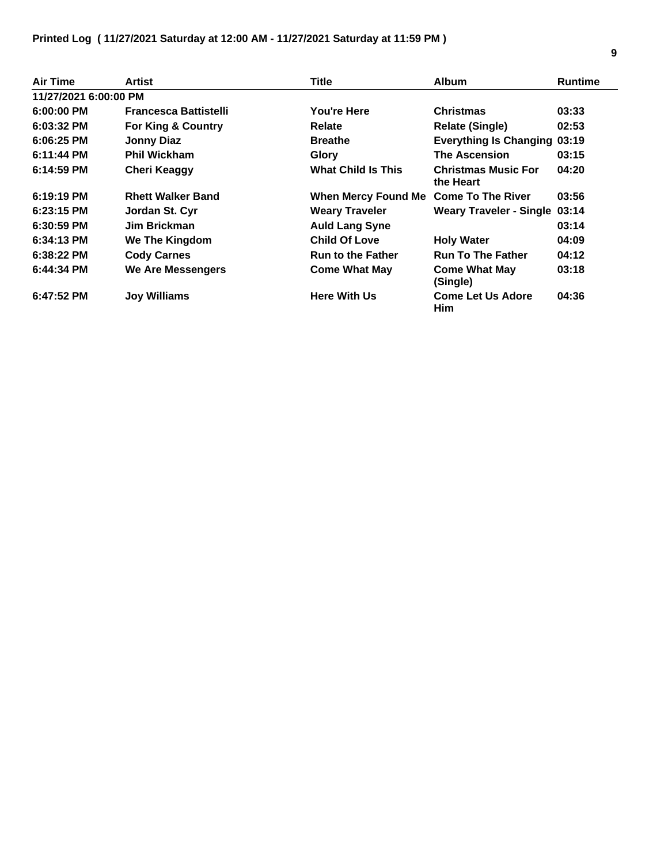| Air Time              | Artist                       | Title                                 | <b>Album</b>                            | <b>Runtime</b> |
|-----------------------|------------------------------|---------------------------------------|-----------------------------------------|----------------|
| 11/27/2021 6:00:00 PM |                              |                                       |                                         |                |
| 6:00:00 PM            | <b>Francesca Battistelli</b> | You're Here                           | <b>Christmas</b>                        | 03:33          |
| $6:03:32$ PM          | For King & Country           | <b>Relate</b>                         | <b>Relate (Single)</b>                  | 02:53          |
| $6:06:25$ PM          | <b>Jonny Diaz</b>            | <b>Breathe</b>                        | <b>Everything Is Changing 03:19</b>     |                |
| $6:11:44$ PM          | <b>Phil Wickham</b>          | Glory                                 | <b>The Ascension</b>                    | 03:15          |
| $6:14:59$ PM          | <b>Cheri Keaggy</b>          | <b>What Child Is This</b>             | <b>Christmas Music For</b><br>the Heart | 04:20          |
| $6:19:19$ PM          | <b>Rhett Walker Band</b>     | When Mercy Found Me Come To The River |                                         | 03:56          |
| $6:23:15$ PM          | Jordan St. Cyr               | <b>Weary Traveler</b>                 | <b>Weary Traveler - Single 03:14</b>    |                |
| $6:30:59$ PM          | Jim Brickman                 | <b>Auld Lang Syne</b>                 |                                         | 03:14          |
| $6:34:13$ PM          | <b>We The Kingdom</b>        | <b>Child Of Love</b>                  | <b>Holy Water</b>                       | 04:09          |
| $6:38:22$ PM          | <b>Cody Carnes</b>           | <b>Run to the Father</b>              | <b>Run To The Father</b>                | 04:12          |
| 6:44:34 PM            | We Are Messengers            | <b>Come What May</b>                  | <b>Come What May</b><br>(Single)        | 03:18          |
| $6:47:52$ PM          | <b>Joy Williams</b>          | <b>Here With Us</b>                   | <b>Come Let Us Adore</b><br>Him         | 04:36          |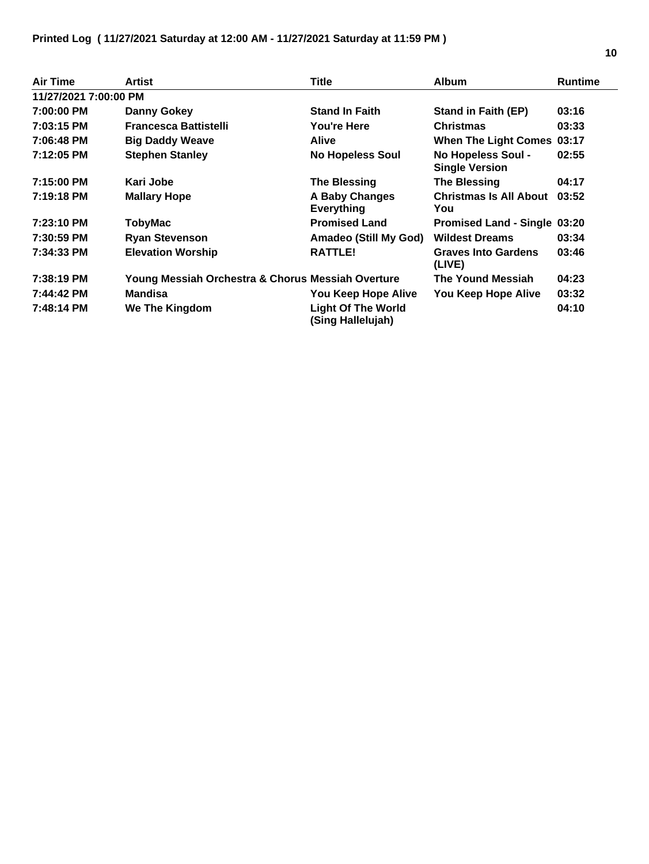| Air Time              | Artist                                            | <b>Title</b>                                   | <b>Album</b>                                | <b>Runtime</b> |
|-----------------------|---------------------------------------------------|------------------------------------------------|---------------------------------------------|----------------|
| 11/27/2021 7:00:00 PM |                                                   |                                                |                                             |                |
| 7:00:00 PM            | Danny Gokey                                       | <b>Stand In Faith</b>                          | Stand in Faith (EP)                         | 03:16          |
| 7:03:15 PM            | <b>Francesca Battistelli</b>                      | <b>You're Here</b>                             | <b>Christmas</b>                            | 03:33          |
| 7:06:48 PM            | <b>Big Daddy Weave</b>                            | <b>Alive</b>                                   | When The Light Comes 03:17                  |                |
| 7:12:05 PM            | <b>Stephen Stanley</b>                            | <b>No Hopeless Soul</b>                        | No Hopeless Soul -<br><b>Single Version</b> | 02:55          |
| 7:15:00 PM            | Kari Jobe                                         | <b>The Blessing</b>                            | <b>The Blessing</b>                         | 04:17          |
| 7:19:18 PM            | <b>Mallary Hope</b>                               | A Baby Changes<br><b>Everything</b>            | <b>Christmas Is All About</b><br>You        | 03:52          |
| 7:23:10 PM            | TobyMac                                           | <b>Promised Land</b>                           | Promised Land - Single 03:20                |                |
| 7:30:59 PM            | <b>Ryan Stevenson</b>                             | <b>Amadeo (Still My God)</b>                   | <b>Wildest Dreams</b>                       | 03:34          |
| 7:34:33 PM            | <b>Elevation Worship</b>                          | <b>RATTLE!</b>                                 | <b>Graves Into Gardens</b><br>(LIVE)        | 03:46          |
| 7:38:19 PM            | Young Messiah Orchestra & Chorus Messiah Overture |                                                | The Yound Messiah                           | 04:23          |
| 7:44:42 PM            | <b>Mandisa</b>                                    | You Keep Hope Alive                            | You Keep Hope Alive                         | 03:32          |
| 7:48:14 PM            | We The Kingdom                                    | <b>Light Of The World</b><br>(Sing Hallelujah) |                                             | 04:10          |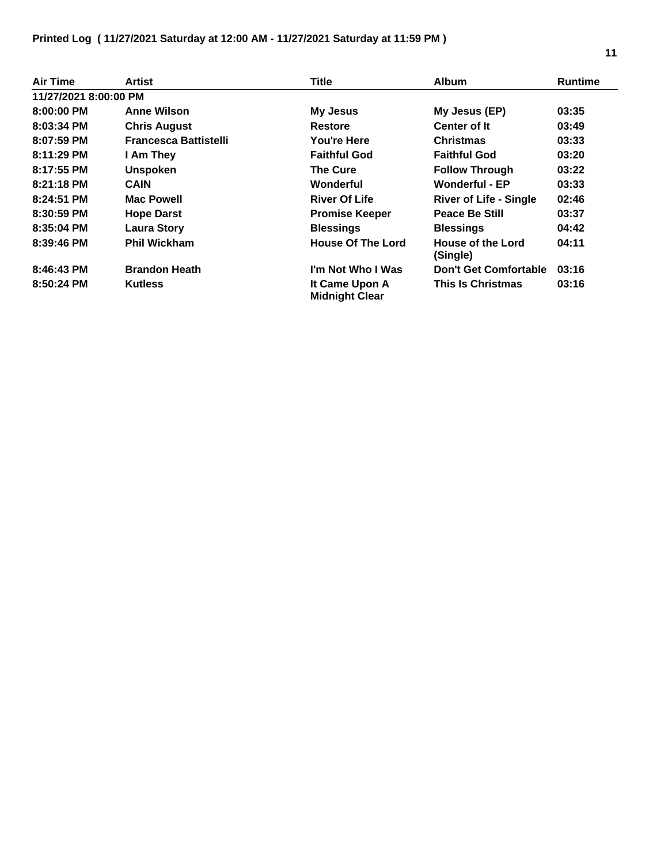| <b>Air Time</b>       | Artist                       | <b>Title</b>                            | <b>Album</b>                  | <b>Runtime</b> |
|-----------------------|------------------------------|-----------------------------------------|-------------------------------|----------------|
| 11/27/2021 8:00:00 PM |                              |                                         |                               |                |
| 8:00:00 PM            | <b>Anne Wilson</b>           | <b>My Jesus</b>                         | My Jesus (EP)                 | 03:35          |
| 8:03:34 PM            | <b>Chris August</b>          | <b>Restore</b>                          | Center of It                  | 03:49          |
| 8:07:59 PM            | <b>Francesca Battistelli</b> | You're Here                             | <b>Christmas</b>              | 03:33          |
| 8:11:29 PM            | I Am They                    | <b>Faithful God</b>                     | <b>Faithful God</b>           | 03:20          |
| 8:17:55 PM            | <b>Unspoken</b>              | <b>The Cure</b>                         | <b>Follow Through</b>         | 03:22          |
| $8:21:18$ PM          | <b>CAIN</b>                  | Wonderful                               | <b>Wonderful - EP</b>         | 03:33          |
| 8:24:51 PM            | <b>Mac Powell</b>            | <b>River Of Life</b>                    | <b>River of Life - Single</b> | 02:46          |
| 8:30:59 PM            | <b>Hope Darst</b>            | <b>Promise Keeper</b>                   | <b>Peace Be Still</b>         | 03:37          |
| 8:35:04 PM            | <b>Laura Story</b>           | <b>Blessings</b>                        | <b>Blessings</b>              | 04:42          |
| $8:39:46$ PM          | <b>Phil Wickham</b>          | <b>House Of The Lord</b>                | House of the Lord<br>(Single) | 04:11          |
| 8:46:43 PM            | <b>Brandon Heath</b>         | I'm Not Who I Was                       | <b>Don't Get Comfortable</b>  | 03:16          |
| 8:50:24 PM            | <b>Kutless</b>               | It Came Upon A<br><b>Midnight Clear</b> | <b>This Is Christmas</b>      | 03:16          |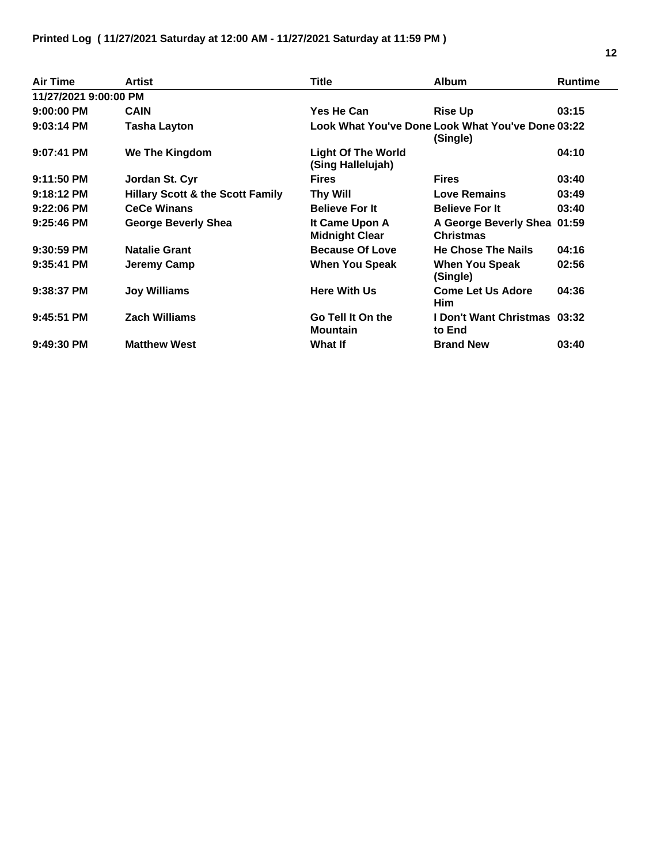| Air Time              | Artist                                      | Title                                          | <b>Album</b>                                                  | <b>Runtime</b> |
|-----------------------|---------------------------------------------|------------------------------------------------|---------------------------------------------------------------|----------------|
| 11/27/2021 9:00:00 PM |                                             |                                                |                                                               |                |
| $9:00:00$ PM          | <b>CAIN</b>                                 | Yes He Can                                     | <b>Rise Up</b>                                                | 03:15          |
| $9:03:14$ PM          | <b>Tasha Layton</b>                         |                                                | Look What You've Done Look What You've Done 03:22<br>(Single) |                |
| $9:07:41$ PM          | We The Kingdom                              | <b>Light Of The World</b><br>(Sing Hallelujah) |                                                               | 04:10          |
| $9:11:50$ PM          | Jordan St. Cyr                              | <b>Fires</b>                                   | <b>Fires</b>                                                  | 03:40          |
| 9:18:12 PM            | <b>Hillary Scott &amp; the Scott Family</b> | Thy Will                                       | <b>Love Remains</b>                                           | 03:49          |
| $9:22:06$ PM          | <b>CeCe Winans</b>                          | <b>Believe For It</b>                          | <b>Believe For It</b>                                         | 03:40          |
| $9:25:46$ PM          | George Beverly Shea                         | It Came Upon A<br><b>Midnight Clear</b>        | A George Beverly Shea 01:59<br><b>Christmas</b>               |                |
| 9:30:59 PM            | <b>Natalie Grant</b>                        | <b>Because Of Love</b>                         | <b>He Chose The Nails</b>                                     | 04:16          |
| 9:35:41 PM            | Jeremy Camp                                 | <b>When You Speak</b>                          | <b>When You Speak</b><br>(Single)                             | 02:56          |
| 9:38:37 PM            | <b>Joy Williams</b>                         | <b>Here With Us</b>                            | <b>Come Let Us Adore</b><br>Him                               | 04:36          |
| $9:45:51$ PM          | <b>Zach Williams</b>                        | Go Tell It On the<br><b>Mountain</b>           | <b>I Don't Want Christmas 03:32</b><br>to End                 |                |
| $9:49:30$ PM          | <b>Matthew West</b>                         | <b>What If</b>                                 | <b>Brand New</b>                                              | 03:40          |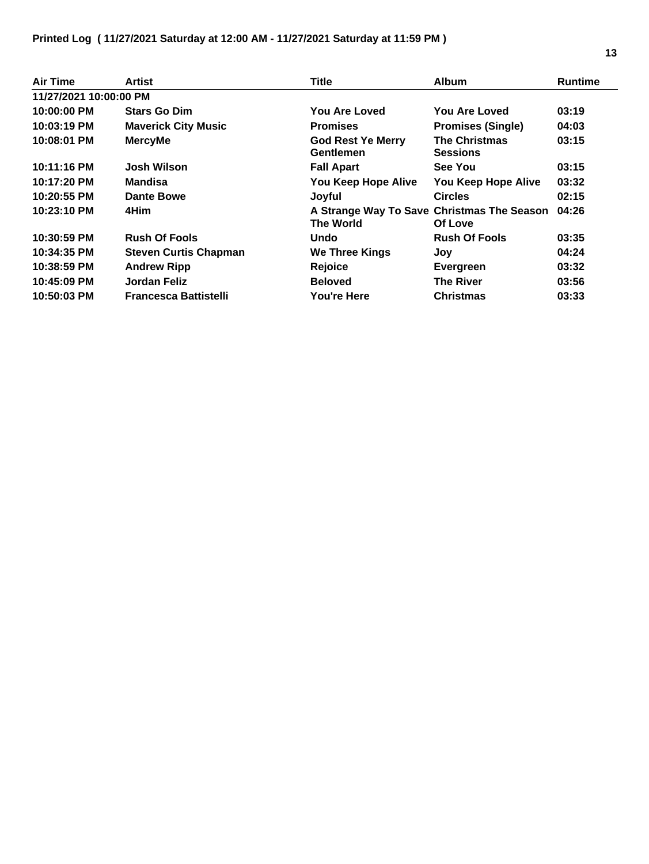| Air Time               | Artist                       | <b>Title</b>                                                   | <b>Album</b>                            | <b>Runtime</b> |
|------------------------|------------------------------|----------------------------------------------------------------|-----------------------------------------|----------------|
| 11/27/2021 10:00:00 PM |                              |                                                                |                                         |                |
| 10:00:00 PM            | <b>Stars Go Dim</b>          | You Are Loved                                                  | <b>You Are Loved</b>                    | 03:19          |
| 10:03:19 PM            | <b>Maverick City Music</b>   | <b>Promises</b>                                                | <b>Promises (Single)</b>                | 04:03          |
| 10:08:01 PM            | <b>MercyMe</b>               | <b>God Rest Ye Merry</b><br>Gentlemen                          | <b>The Christmas</b><br><b>Sessions</b> | 03:15          |
| 10:11:16 PM            | <b>Josh Wilson</b>           | <b>Fall Apart</b>                                              | See You                                 | 03:15          |
| 10:17:20 PM            | Mandisa                      | You Keep Hope Alive                                            | You Keep Hope Alive                     | 03:32          |
| 10:20:55 PM            | Dante Bowe                   | Joyful                                                         | <b>Circles</b>                          | 02:15          |
| 10:23:10 PM            | 4Him                         | A Strange Way To Save Christmas The Season<br><b>The World</b> | Of Love                                 | 04:26          |
| 10:30:59 PM            | <b>Rush Of Fools</b>         | Undo                                                           | <b>Rush Of Fools</b>                    | 03:35          |
| 10:34:35 PM            | <b>Steven Curtis Chapman</b> | <b>We Three Kings</b>                                          | Joy                                     | 04:24          |
| 10:38:59 PM            | <b>Andrew Ripp</b>           | Rejoice                                                        | Evergreen                               | 03:32          |
| 10:45:09 PM            | Jordan Feliz                 | <b>Beloved</b>                                                 | <b>The River</b>                        | 03:56          |
| 10:50:03 PM            | <b>Francesca Battistelli</b> | You're Here                                                    | <b>Christmas</b>                        | 03:33          |